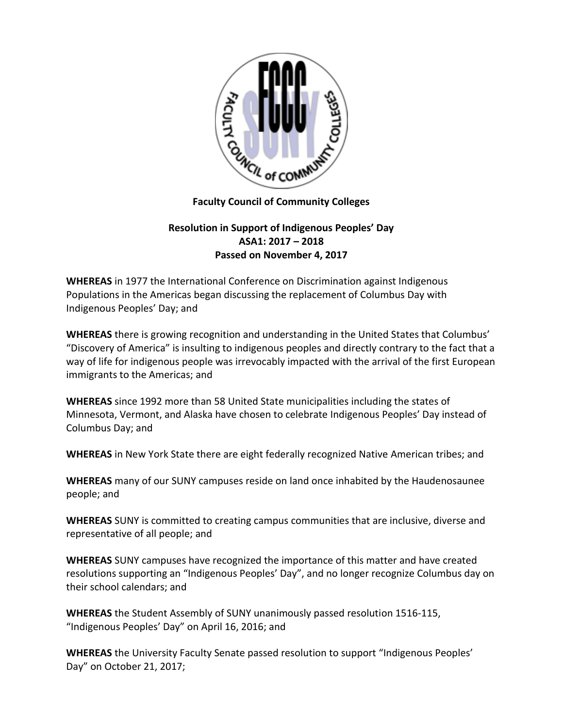

## **Faculty Council of Community Colleges**

## **Resolution in Support of Indigenous Peoples' Day ASA1: 2017 – 2018 Passed on November 4, 2017**

**WHEREAS** in 1977 the International Conference on Discrimination against Indigenous Populations in the Americas began discussing the replacement of Columbus Day with Indigenous Peoples' Day; and

**WHEREAS** there is growing recognition and understanding in the United States that Columbus' "Discovery of America" is insulting to indigenous peoples and directly contrary to the fact that a way of life for indigenous people was irrevocably impacted with the arrival of the first European immigrants to the Americas; and

**WHEREAS** since 1992 more than 58 United State municipalities including the states of Minnesota, Vermont, and Alaska have chosen to celebrate Indigenous Peoples' Day instead of Columbus Day; and

**WHEREAS** in New York State there are eight federally recognized Native American tribes; and

**WHEREAS** many of our SUNY campuses reside on land once inhabited by the Haudenosaunee people; and

**WHEREAS** SUNY is committed to creating campus communities that are inclusive, diverse and representative of all people; and

**WHEREAS** SUNY campuses have recognized the importance of this matter and have created resolutions supporting an "Indigenous Peoples' Day", and no longer recognize Columbus day on their school calendars; and

**WHEREAS** the Student Assembly of SUNY unanimously passed resolution 1516-115, "Indigenous Peoples' Day" on April 16, 2016; and

**WHEREAS** the University Faculty Senate passed resolution to support "Indigenous Peoples' Day" on October 21, 2017;